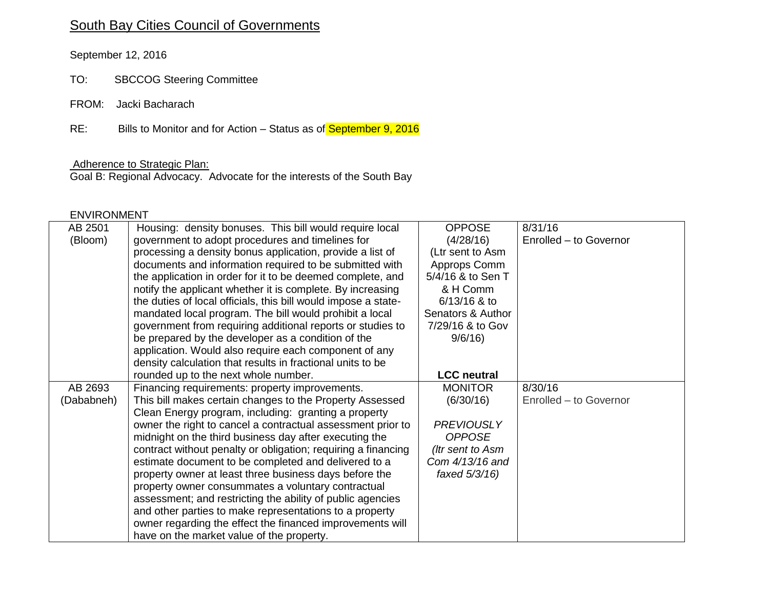# South Bay Cities Council of Governments

September 12, 2016

- TO: SBCCOG Steering Committee
- FROM: Jacki Bacharach

RE: Bills to Monitor and for Action – Status as of **September 9, 2016** 

#### Adherence to Strategic Plan:

Goal B: Regional Advocacy. Advocate for the interests of the South Bay

#### ENVIRONMENT

| AB 2501    | Housing: density bonuses. This bill would require local                                                | <b>OPPOSE</b>      | 8/31/16                |
|------------|--------------------------------------------------------------------------------------------------------|--------------------|------------------------|
| (Bloom)    | government to adopt procedures and timelines for                                                       | (4/28/16)          | Enrolled - to Governor |
|            | processing a density bonus application, provide a list of                                              | (Ltr sent to Asm   |                        |
|            | documents and information required to be submitted with                                                | Approps Comm       |                        |
|            | the application in order for it to be deemed complete, and                                             | 5/4/16 & to Sen T  |                        |
|            | notify the applicant whether it is complete. By increasing                                             | & H Comm           |                        |
|            | the duties of local officials, this bill would impose a state-                                         | 6/13/16 & to       |                        |
|            | mandated local program. The bill would prohibit a local                                                | Senators & Author  |                        |
|            | government from requiring additional reports or studies to                                             | 7/29/16 & to Gov   |                        |
|            | be prepared by the developer as a condition of the                                                     | 9/6/16             |                        |
|            | application. Would also require each component of any                                                  |                    |                        |
|            | density calculation that results in fractional units to be                                             |                    |                        |
|            | rounded up to the next whole number.                                                                   | <b>LCC</b> neutral |                        |
| AB 2693    | Financing requirements: property improvements.                                                         | <b>MONITOR</b>     | 8/30/16                |
| (Dababneh) | This bill makes certain changes to the Property Assessed                                               | (6/30/16)          | Enrolled - to Governor |
|            | Clean Energy program, including: granting a property                                                   |                    |                        |
|            | owner the right to cancel a contractual assessment prior to                                            | <b>PREVIOUSLY</b>  |                        |
|            |                                                                                                        |                    |                        |
|            | midnight on the third business day after executing the                                                 | <b>OPPOSE</b>      |                        |
|            | contract without penalty or obligation; requiring a financing                                          | (Itr sent to Asm   |                        |
|            | estimate document to be completed and delivered to a                                                   | Com 4/13/16 and    |                        |
|            | property owner at least three business days before the                                                 | faxed 5/3/16)      |                        |
|            | property owner consummates a voluntary contractual                                                     |                    |                        |
|            | assessment; and restricting the ability of public agencies                                             |                    |                        |
|            | and other parties to make representations to a property                                                |                    |                        |
|            | owner regarding the effect the financed improvements will<br>have on the market value of the property. |                    |                        |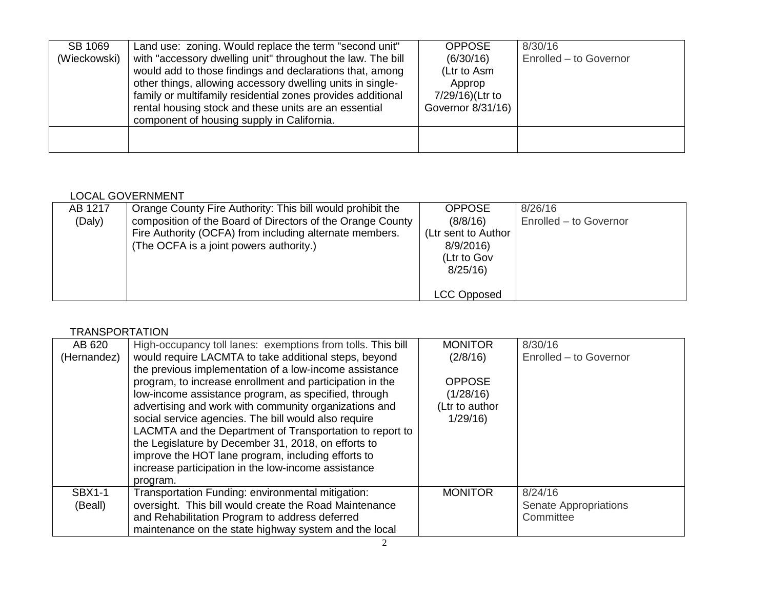| SB 1069      | Land use: zoning. Would replace the term "second unit"      | <b>OPPOSE</b>     | 8/30/16                |
|--------------|-------------------------------------------------------------|-------------------|------------------------|
| (Wieckowski) | with "accessory dwelling unit" throughout the law. The bill | (6/30/16)         | Enrolled - to Governor |
|              | would add to those findings and declarations that, among    | (Ltr to Asm       |                        |
|              | other things, allowing accessory dwelling units in single-  | Approp            |                        |
|              | family or multifamily residential zones provides additional | 7/29/16)(Ltr to   |                        |
|              | rental housing stock and these units are an essential       | Governor 8/31/16) |                        |
|              | component of housing supply in California.                  |                   |                        |
|              |                                                             |                   |                        |
|              |                                                             |                   |                        |

## LOCAL GOVERNMENT

| AB 1217 | Orange County Fire Authority: This bill would prohibit the                                                                                                       | <b>OPPOSE</b>                                               | 8/26/16                |
|---------|------------------------------------------------------------------------------------------------------------------------------------------------------------------|-------------------------------------------------------------|------------------------|
| (Daly)  | composition of the Board of Directors of the Orange County<br>Fire Authority (OCFA) from including alternate members.<br>(The OCFA is a joint powers authority.) | (8/8/16)<br>(Ltr sent to Author)<br>8/9/2016<br>(Ltr to Gov | Enrolled - to Governor |
|         |                                                                                                                                                                  | 8/25/16<br>LCC Opposed                                      |                        |

## **TRANSPORTATION**

| AB 620        | High-occupancy toll lanes: exemptions from tolls. This bill | <b>MONITOR</b> | 8/30/16                |
|---------------|-------------------------------------------------------------|----------------|------------------------|
| (Hernandez)   | would require LACMTA to take additional steps, beyond       | (2/8/16)       | Enrolled - to Governor |
|               | the previous implementation of a low-income assistance      |                |                        |
|               | program, to increase enrollment and participation in the    | <b>OPPOSE</b>  |                        |
|               | low-income assistance program, as specified, through        | (1/28/16)      |                        |
|               | advertising and work with community organizations and       | (Ltr to author |                        |
|               | social service agencies. The bill would also require        | 1/29/16        |                        |
|               | LACMTA and the Department of Transportation to report to    |                |                        |
|               | the Legislature by December 31, 2018, on efforts to         |                |                        |
|               | improve the HOT lane program, including efforts to          |                |                        |
|               | increase participation in the low-income assistance         |                |                        |
|               | program.                                                    |                |                        |
| <b>SBX1-1</b> | Transportation Funding: environmental mitigation:           | <b>MONITOR</b> | 8/24/16                |
| (Beall)       | oversight. This bill would create the Road Maintenance      |                | Senate Appropriations  |
|               | and Rehabilitation Program to address deferred              |                | Committee              |
|               | maintenance on the state highway system and the local       |                |                        |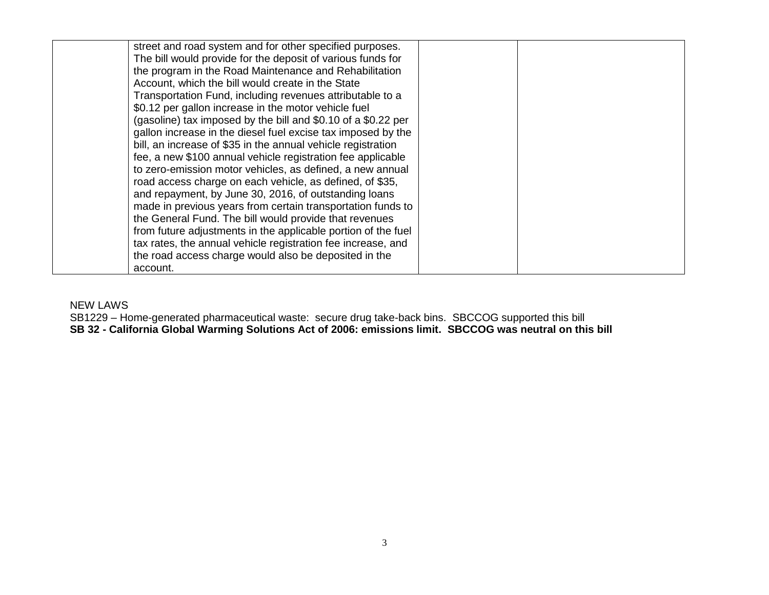| street and road system and for other specified purposes.      |  |
|---------------------------------------------------------------|--|
| The bill would provide for the deposit of various funds for   |  |
| the program in the Road Maintenance and Rehabilitation        |  |
| Account, which the bill would create in the State             |  |
| Transportation Fund, including revenues attributable to a     |  |
| \$0.12 per gallon increase in the motor vehicle fuel          |  |
| (gasoline) tax imposed by the bill and \$0.10 of a \$0.22 per |  |
| gallon increase in the diesel fuel excise tax imposed by the  |  |
| bill, an increase of \$35 in the annual vehicle registration  |  |
| fee, a new \$100 annual vehicle registration fee applicable   |  |
| to zero-emission motor vehicles, as defined, a new annual     |  |
| road access charge on each vehicle, as defined, of \$35,      |  |
| and repayment, by June 30, 2016, of outstanding loans         |  |
| made in previous years from certain transportation funds to   |  |
| the General Fund. The bill would provide that revenues        |  |
| from future adjustments in the applicable portion of the fuel |  |
| tax rates, the annual vehicle registration fee increase, and  |  |
| the road access charge would also be deposited in the         |  |
| account.                                                      |  |

### NEW LAWS

SB1229 – Home-generated pharmaceutical waste: secure drug take-back bins. SBCCOG supported this bill **SB 32 - California Global Warming Solutions Act of 2006: emissions limit. SBCCOG was neutral on this bill**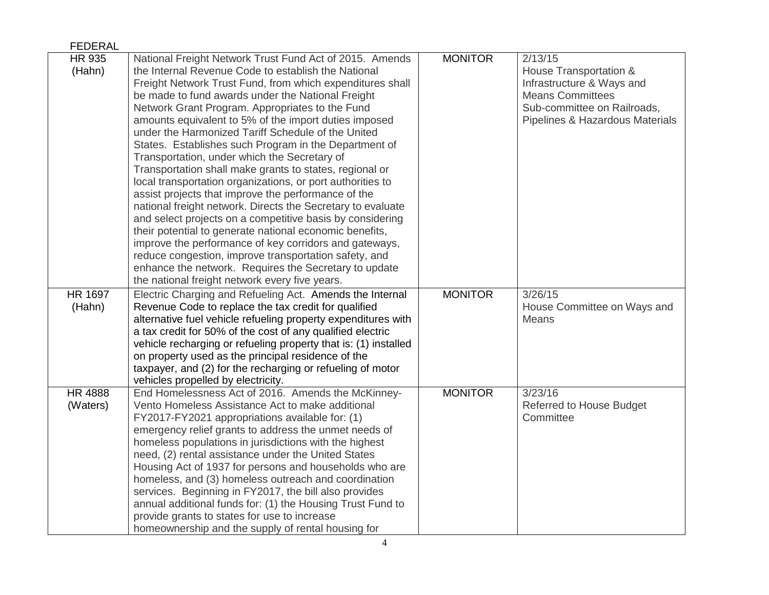| <b>FEDERAL</b> |                                                                 |                |                                 |
|----------------|-----------------------------------------------------------------|----------------|---------------------------------|
| HR 935         | National Freight Network Trust Fund Act of 2015. Amends         | <b>MONITOR</b> | 2/13/15                         |
| (Hahn)         | the Internal Revenue Code to establish the National             |                | House Transportation &          |
|                | Freight Network Trust Fund, from which expenditures shall       |                | Infrastructure & Ways and       |
|                | be made to fund awards under the National Freight               |                | <b>Means Committees</b>         |
|                | Network Grant Program. Appropriates to the Fund                 |                | Sub-committee on Railroads,     |
|                | amounts equivalent to 5% of the import duties imposed           |                | Pipelines & Hazardous Materials |
|                | under the Harmonized Tariff Schedule of the United              |                |                                 |
|                | States. Establishes such Program in the Department of           |                |                                 |
|                | Transportation, under which the Secretary of                    |                |                                 |
|                | Transportation shall make grants to states, regional or         |                |                                 |
|                | local transportation organizations, or port authorities to      |                |                                 |
|                | assist projects that improve the performance of the             |                |                                 |
|                | national freight network. Directs the Secretary to evaluate     |                |                                 |
|                | and select projects on a competitive basis by considering       |                |                                 |
|                | their potential to generate national economic benefits,         |                |                                 |
|                | improve the performance of key corridors and gateways,          |                |                                 |
|                | reduce congestion, improve transportation safety, and           |                |                                 |
|                | enhance the network. Requires the Secretary to update           |                |                                 |
|                | the national freight network every five years.                  |                |                                 |
| <b>HR 1697</b> | Electric Charging and Refueling Act. Amends the Internal        | <b>MONITOR</b> | 3/26/15                         |
| (Hahn)         | Revenue Code to replace the tax credit for qualified            |                | House Committee on Ways and     |
|                | alternative fuel vehicle refueling property expenditures with   |                | Means                           |
|                | a tax credit for 50% of the cost of any qualified electric      |                |                                 |
|                | vehicle recharging or refueling property that is: (1) installed |                |                                 |
|                | on property used as the principal residence of the              |                |                                 |
|                | taxpayer, and (2) for the recharging or refueling of motor      |                |                                 |
|                | vehicles propelled by electricity.                              |                |                                 |
| <b>HR 4888</b> | End Homelessness Act of 2016. Amends the McKinney-              | <b>MONITOR</b> | 3/23/16                         |
| (Waters)       | Vento Homeless Assistance Act to make additional                |                | <b>Referred to House Budget</b> |
|                | FY2017-FY2021 appropriations available for: (1)                 |                | Committee                       |
|                | emergency relief grants to address the unmet needs of           |                |                                 |
|                | homeless populations in jurisdictions with the highest          |                |                                 |
|                | need, (2) rental assistance under the United States             |                |                                 |
|                | Housing Act of 1937 for persons and households who are          |                |                                 |
|                | homeless, and (3) homeless outreach and coordination            |                |                                 |
|                | services. Beginning in FY2017, the bill also provides           |                |                                 |
|                | annual additional funds for: (1) the Housing Trust Fund to      |                |                                 |
|                | provide grants to states for use to increase                    |                |                                 |
|                | homeownership and the supply of rental housing for              |                |                                 |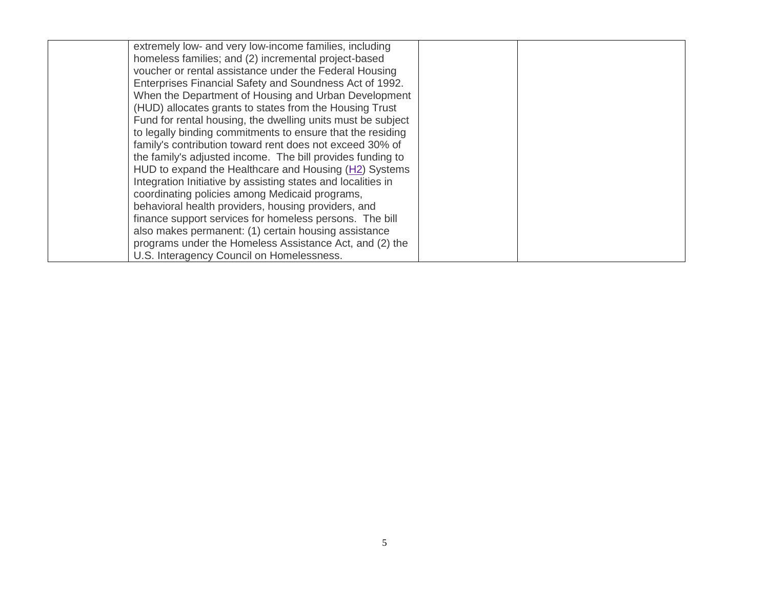| extremely low- and very low-income families, including       |  |
|--------------------------------------------------------------|--|
| homeless families; and (2) incremental project-based         |  |
| voucher or rental assistance under the Federal Housing       |  |
| Enterprises Financial Safety and Soundness Act of 1992.      |  |
| When the Department of Housing and Urban Development         |  |
| (HUD) allocates grants to states from the Housing Trust      |  |
| Fund for rental housing, the dwelling units must be subject  |  |
| to legally binding commitments to ensure that the residing   |  |
| family's contribution toward rent does not exceed 30% of     |  |
| the family's adjusted income. The bill provides funding to   |  |
| HUD to expand the Healthcare and Housing (H2) Systems        |  |
| Integration Initiative by assisting states and localities in |  |
| coordinating policies among Medicaid programs,               |  |
| behavioral health providers, housing providers, and          |  |
| finance support services for homeless persons. The bill      |  |
| also makes permanent: (1) certain housing assistance         |  |
| programs under the Homeless Assistance Act, and (2) the      |  |
| U.S. Interagency Council on Homelessness.                    |  |